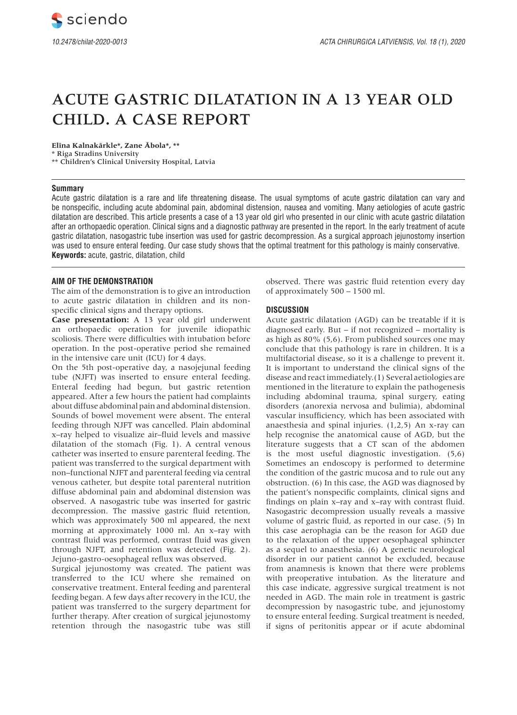# ACUTE GASTRIC DILATATION IN A 13 YEAR OLD CHILD. A CASE REPORT

**Elīna Kalnakārkle\*, Zane Ābola\*, \*\***

\* Riga Stradins University \*\* Children's Clinical University Hospital, Latvia

## **Summary**

Acute gastric dilatation is a rare and life threatening disease. The usual symptoms of acute gastric dilatation can vary and be nonspecific, including acute abdominal pain, abdominal distension, nausea and vomiting. Many aetiologies of acute gastric dilatation are described. This article presents a case of a 13 year old girl who presented in our clinic with acute gastric dilatation after an orthopaedic operation. Clinical signs and a diagnostic pathway are presented in the report. In the early treatment of acute gastric dilatation, nasogastric tube insertion was used for gastric decompression. As a surgical approach jejunostomy insertion was used to ensure enteral feeding. Our case study shows that the optimal treatment for this pathology is mainly conservative. **Keywords:** acute, gastric, dilatation, child

## **AIM OF THE DEMONSTRATION**

The aim of the demonstration is to give an introduction to acute gastric dilatation in children and its nonspecific clinical signs and therapy options.

**Case presentation:** A 13 year old girl underwent an orthopaedic operation for juvenile idiopathic scoliosis. There were difficulties with intubation before operation. In the post-operative period she remained in the intensive care unit (ICU) for 4 days.

On the 5th post-operative day, a nasojejunal feeding tube (NJFT) was inserted to ensure enteral feeding. Enteral feeding had begun, but gastric retention appeared. After a few hours the patient had complaints about diffuse abdominal pain and abdominal distension. Sounds of bowel movement were absent. The enteral feeding through NJFT was cancelled. Plain abdominal x–ray helped to visualize air–fluid levels and massive dilatation of the stomach (Fig. 1). A central venous catheter was inserted to ensure parenteral feeding. The patient was transferred to the surgical department with non–functional NJFT and parenteral feeding via central venous catheter, but despite total parenteral nutrition diffuse abdominal pain and abdominal distension was observed. A nasogastric tube was inserted for gastric decompression. The massive gastric fluid retention, which was approximately 500 ml appeared, the next morning at approximately 1000 ml. An x–ray with contrast fluid was performed, contrast fluid was given through NJFT, and retention was detected (Fig. 2). Jejuno-gastro-oesophageal reflux was observed.

Surgical jejunostomy was created. The patient was transferred to the ICU where she remained on conservative treatment. Enteral feeding and parenteral feeding began. A few days after recovery in the ICU, the patient was transferred to the surgery department for further therapy. After creation of surgical jejunostomy retention through the nasogastric tube was still observed. There was gastric fluid retention every day of approximately 500 – 1500 ml.

# **DISCUSSION**

Acute gastric dilatation (AGD) can be treatable if it is diagnosed early. But – if not recognized – mortality is as high as 80% (5,6). From published sources one may conclude that this pathology is rare in children. It is a multifactorial disease, so it is a challenge to prevent it. It is important to understand the clinical signs of the disease and react immediately.(1) Several aetiologies are mentioned in the literature to explain the pathogenesis including abdominal trauma, spinal surgery, eating disorders (anorexia nervosa and bulimia), abdominal vascular insufficiency, which has been associated with anaesthesia and spinal injuries. (1,2,5) An x-ray can help recognise the anatomical cause of AGD, but the literature suggests that a CT scan of the abdomen is the most useful diagnostic investigation. (5,6) Sometimes an endoscopy is performed to determine the condition of the gastric mucosa and to rule out any obstruction. (6) In this case, the AGD was diagnosed by the patient's nonspecific complaints, clinical signs and findings on plain x–ray and x–ray with contrast fluid. Nasogastric decompression usually reveals a massive volume of gastric fluid, as reported in our case. (5) In this case aerophagia can be the reason for AGD due to the relaxation of the upper oesophageal sphincter as a sequel to anaesthesia. (6) A genetic neurological disorder in our patient cannot be excluded, because from anamnesis is known that there were problems with preoperative intubation. As the literature and this case indicate, aggressive surgical treatment is not needed in AGD. The main role in treatment is gastric decompression by nasogastric tube, and jejunostomy to ensure enteral feeding. Surgical treatment is needed, if signs of peritonitis appear or if acute abdominal